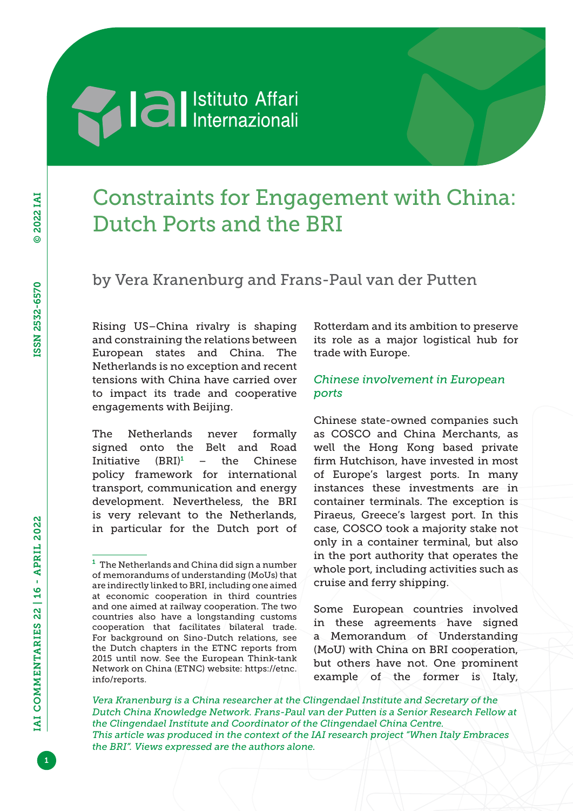# **Al al** Istituto Affari

## Constraints for Engagement with China: Dutch Ports and the BRI

### by Vera Kranenburg and Frans-Paul van der Putten

Rising US–China rivalry is shaping and constraining the relations between European states and China. The Netherlands is no exception and recent tensions with China have carried over to impact its trade and cooperative engagements with Beijing.

The Netherlands never formally signed onto the Belt and Road Initiative (BRI)<sup>1</sup> – the Chinese policy framework for international transport, communication and energy development. Nevertheless, the BRI is very relevant to the Netherlands, in particular for the Dutch port of

Rotterdam and its ambition to preserve its role as a major logistical hub for trade with Europe.

#### *Chinese involvement in European ports*

Chinese state-owned companies such as COSCO and China Merchants, as well the Hong Kong based private firm Hutchison, have invested in most of Europe's largest ports. In many instances these investments are in container terminals. The exception is Piraeus, Greece's largest port. In this case, COSCO took a majority stake not only in a container terminal, but also in the port authority that operates the whole port, including activities such as cruise and ferry shipping.

Some European countries involved in these agreements have signed a Memorandum of Understanding (MoU) with China on BRI cooperation, but others have not. One prominent example of the former is Italy,

*Vera Kranenburg is a China researcher at the Clingendael Institute and Secretary of the Dutch China Knowledge Network. Frans-Paul van der Putten is a Senior Research Fellow at the Clingendael Institute and Coordinator of the Clingendael China Centre. This article was produced in the context of the IAI research project "When Italy Embraces the BRI". Views expressed are the authors alone.*

 $1$  The Netherlands and China did sign a number of memorandums of understanding (MoUs) that are indirectly linked to BRI, including one aimed at economic cooperation in third countries and one aimed at railway cooperation. The two countries also have a longstanding customs cooperation that facilitates bilateral trade. For background on Sino-Dutch relations, see the Dutch chapters in the ETNC reports from 2015 until now. See the European Think-tank Network on China (ETNC) website: [https://etnc.](https://etnc.info/reports) [info/reports](https://etnc.info/reports).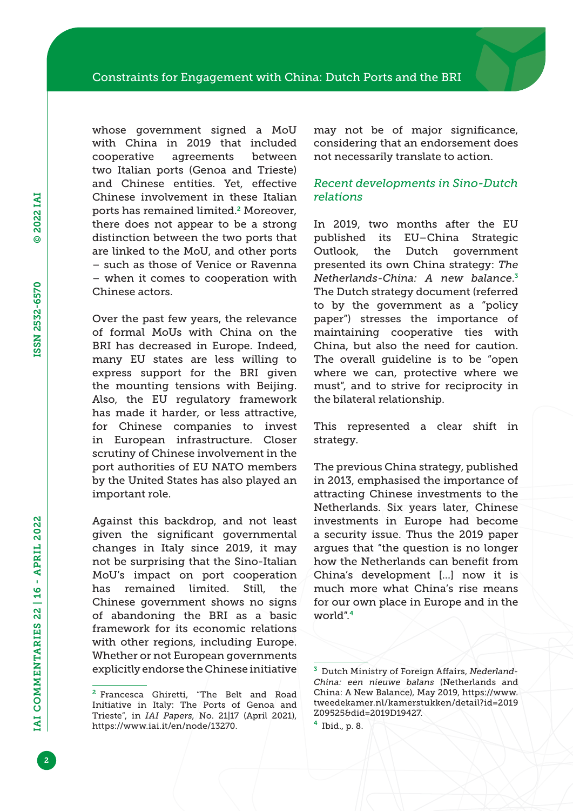whose government signed a MoU with China in 2019 that included cooperative agreements between two Italian ports (Genoa and Trieste) and Chinese entities. Yet, effective Chinese involvement in these Italian ports has remained limited.2 Moreover, there does not appear to be a strong distinction between the two ports that are linked to the MoU, and other ports – such as those of Venice or Ravenna – when it comes to cooperation with Chinese actors.

Over the past few years, the relevance of formal MoUs with China on the BRI has decreased in Europe. Indeed, many EU states are less willing to express support for the BRI given the mounting tensions with Beijing. Also, the EU regulatory framework has made it harder, or less attractive, for Chinese companies to invest in European infrastructure. Closer scrutiny of Chinese involvement in the port authorities of EU NATO members by the United States has also played an important role.

Against this backdrop, and not least given the significant governmental changes in Italy since 2019, it may not be surprising that the Sino-Italian MoU's impact on port cooperation has remained limited. Still, the Chinese government shows no signs of abandoning the BRI as a basic framework for its economic relations with other regions, including Europe. Whether or not European governments explicitly endorse the Chinese initiative

may not be of major significance, considering that an endorsement does not necessarily translate to action.

#### *Recent developments in Sino-Dutch relations*

In 2019, two months after the EU published its EU–China Strategic Outlook, the Dutch government presented its own China strategy: *The Netherlands-China: A new balance*. 3 The Dutch strategy document (referred to by the government as a "policy paper") stresses the importance of maintaining cooperative ties with China, but also the need for caution. The overall guideline is to be "open where we can, protective where we must", and to strive for reciprocity in the bilateral relationship.

This represented a clear shift in strategy.

The previous China strategy, published in 2013, emphasised the importance of attracting Chinese investments to the Netherlands. Six years later, Chinese investments in Europe had become a security issue. Thus the 2019 paper argues that "the question is no longer how the Netherlands can benefit from China's development […] now it is much more what China's rise means for our own place in Europe and in the world".<sup>4</sup>

 $<sup>4</sup>$  Ibid., p. 8.</sup>

<sup>2</sup> Francesca Ghiretti, "The Belt and Road Initiative in Italy: The Ports of Genoa and Trieste", in *IAI Papers*, No. 21|17 (April 2021), [https://www.iai.it/en/node/13270.](https://www.iai.it/en/node/13270)

<sup>3</sup> Dutch Ministry of Foreign Affairs, *Nederland-China: een nieuwe balans* (Netherlands and China: A New Balance), May 2019, [https://www.](https://www.tweedekamer.nl/kamerstukken/detail?id=2019Z09525&did=2019D19427) [tweedekamer.nl/kamerstukken/detail?id=2019](https://www.tweedekamer.nl/kamerstukken/detail?id=2019Z09525&did=2019D19427) [Z09525&did=2019D19427.](https://www.tweedekamer.nl/kamerstukken/detail?id=2019Z09525&did=2019D19427)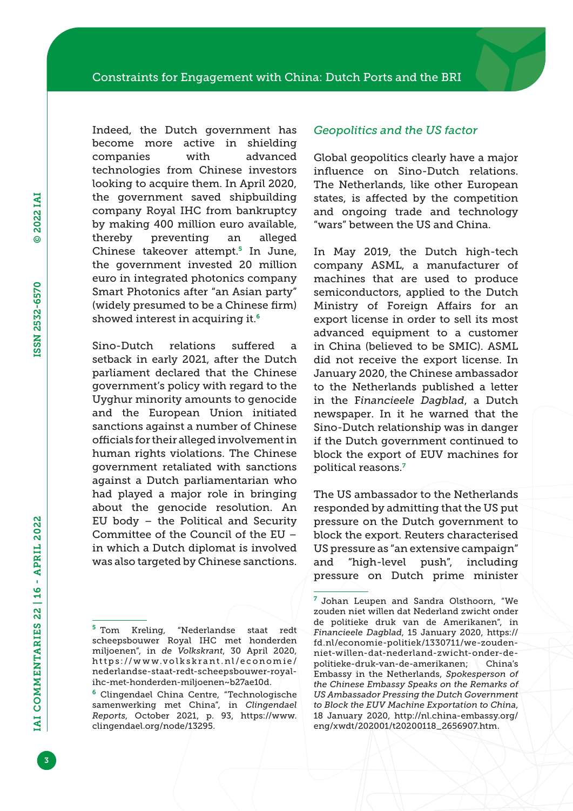Indeed, the Dutch government has become more active in shielding companies with advanced technologies from Chinese investors looking to acquire them. In April 2020, the government saved shipbuilding company Royal IHC from bankruptcy by making 400 million euro available, thereby preventing an alleged Chinese takeover attempt.<sup>5</sup> In June, the government invested 20 million euro in integrated photonics company Smart Photonics after "an Asian party" (widely presumed to be a Chinese firm) showed interest in acquiring it.<sup>6</sup>

Sino-Dutch relations suffered a setback in early 2021, after the Dutch parliament declared that the Chinese government's policy with regard to the Uyghur minority amounts to genocide and the European Union initiated sanctions against a number of Chinese officials for their alleged involvement in human rights violations. The Chinese government retaliated with sanctions against a Dutch parliamentarian who had played a major role in bringing about the genocide resolution. An EU body – the Political and Security Committee of the Council of the EU – in which a Dutch diplomat is involved was also targeted by Chinese sanctions.

#### *Geopolitics and the US factor*

Global geopolitics clearly have a major influence on Sino-Dutch relations. The Netherlands, like other European states, is affected by the competition and ongoing trade and technology "wars" between the US and China.

In May 2019, the Dutch high-tech company ASML, a manufacturer of machines that are used to produce semiconductors, applied to the Dutch Ministry of Foreign Affairs for an export license in order to sell its most advanced equipment to a customer in China (believed to be SMIC). ASML did not receive the export license. In January 2020, the Chinese ambassador to the Netherlands published a letter in the F*inancieele Dagblad*, a Dutch newspaper. In it he warned that the Sino-Dutch relationship was in danger if the Dutch government continued to block the export of EUV machines for political reasons.<sup>7</sup>

The US ambassador to the Netherlands responded by admitting that the US put pressure on the Dutch government to block the export. Reuters characterised US pressure as "an extensive campaign" and "high-level push", including pressure on Dutch prime minister

<sup>5</sup> Tom Kreling, "Nederlandse staat redt scheepsbouwer Royal IHC met honderden miljoenen", in *de Volkskrant*, 30 April 2020, [https://www.volkskrant.nl/economie/](https://www.volkskrant.nl/economie/nederlandse-staat-redt-scheepsbouwer-royal-ihc-met-honderden-miljoenen~b27ae10d) [nederlandse-staat-redt-scheepsbouwer-royal](https://www.volkskrant.nl/economie/nederlandse-staat-redt-scheepsbouwer-royal-ihc-met-honderden-miljoenen~b27ae10d)[ihc-met-honderden-miljoenen~b27ae10d](https://www.volkskrant.nl/economie/nederlandse-staat-redt-scheepsbouwer-royal-ihc-met-honderden-miljoenen~b27ae10d).

<sup>6</sup> Clingendael China Centre, "Technologische samenwerking met China", in *Clingendael Reports*, October 2021, p. 93, [https://www.](https://www.clingendael.org/node/13295) [clingendael.org/node/13295](https://www.clingendael.org/node/13295).

<sup>7</sup> Johan Leupen and Sandra Olsthoorn, "We zouden niet willen dat Nederland zwicht onder de politieke druk van de Amerikanen", in *Financieele Dagblad*, 15 January 2020, [https://](https://fd.nl/economie-politiek/1330711/we-zouden-niet-willen-dat-nederland-zwicht-onder-de-politieke-druk-van-de-amerikanen) [fd.nl/economie-politiek/1330711/we-zouden](https://fd.nl/economie-politiek/1330711/we-zouden-niet-willen-dat-nederland-zwicht-onder-de-politieke-druk-van-de-amerikanen)[niet-willen-dat-nederland-zwicht-onder-de](https://fd.nl/economie-politiek/1330711/we-zouden-niet-willen-dat-nederland-zwicht-onder-de-politieke-druk-van-de-amerikanen)[politieke-druk-van-de-amerikanen;](https://fd.nl/economie-politiek/1330711/we-zouden-niet-willen-dat-nederland-zwicht-onder-de-politieke-druk-van-de-amerikanen) China's Embassy in the Netherlands, *Spokesperson of the Chinese Embassy Speaks on the Remarks of US Ambassador Pressing the Dutch Government to Block the EUV Machine Exportation to China*, 18 January 2020, [http://nl.china-embassy.org/](http://nl.china-embassy.org/eng/xwdt/202001/t20200118_2656907.htm) [eng/xwdt/202001/t20200118\\_2656907.htm.](http://nl.china-embassy.org/eng/xwdt/202001/t20200118_2656907.htm)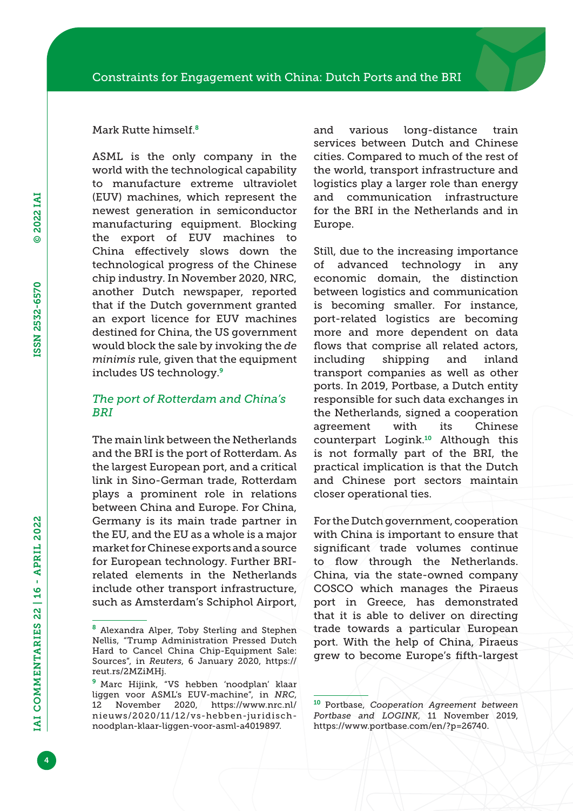#### Mark Rutte himself.<sup>8</sup>

ASML is the only company in the world with the technological capability to manufacture extreme ultraviolet (EUV) machines, which represent the newest generation in semiconductor manufacturing equipment. Blocking the export of EUV machines to China effectively slows down the technological progress of the Chinese chip industry. In November 2020, NRC, another Dutch newspaper, reported that if the Dutch government granted an export licence for EUV machines destined for China, the US government would block the sale by invoking the *de minimis* rule, given that the equipment includes US technology.<sup>9</sup>

#### *The port of Rotterdam and China's BRI*

The main link between the Netherlands and the BRI is the port of Rotterdam. As the largest European port, and a critical link in Sino-German trade, Rotterdam plays a prominent role in relations between China and Europe. For China, Germany is its main trade partner in the EU, and the EU as a whole is a major market for Chinese exports and a source for European technology. Further BRIrelated elements in the Netherlands include other transport infrastructure, such as Amsterdam's Schiphol Airport,

and various long-distance train services between Dutch and Chinese cities. Compared to much of the rest of the world, transport infrastructure and logistics play a larger role than energy and communication infrastructure for the BRI in the Netherlands and in Europe.

Still, due to the increasing importance of advanced technology in any economic domain, the distinction between logistics and communication is becoming smaller. For instance, port-related logistics are becoming more and more dependent on data flows that comprise all related actors, including shipping and inland transport companies as well as other ports. In 2019, Portbase, a Dutch entity responsible for such data exchanges in the Netherlands, signed a cooperation agreement with its Chinese counterpart Logink.10 Although this is not formally part of the BRI, the practical implication is that the Dutch and Chinese port sectors maintain closer operational ties.

For the Dutch government, cooperation with China is important to ensure that significant trade volumes continue to flow through the Netherlands. China, via the state-owned company COSCO which manages the Piraeus port in Greece, has demonstrated that it is able to deliver on directing trade towards a particular European port. With the help of China, Piraeus grew to become Europe's fifth-largest

<sup>8</sup> Alexandra Alper, Toby Sterling and Stephen Nellis, "Trump Administration Pressed Dutch Hard to Cancel China Chip-Equipment Sale: Sources", in *Reuters*, 6 January 2020, [https://](https://reut.rs/2MZiMHj) [reut.rs/2MZiMHj.](https://reut.rs/2MZiMHj)

<sup>&</sup>lt;sup>9</sup> Marc Hijink, "VS hebben 'noodplan' klaar liggen voor ASML's EUV-machine", in *NRC*, 12 November 2020, [https://www.nrc.nl/](https://www.nrc.nl/nieuws/2020/11/12/vs-hebben-juridisch-noodplan-klaar-liggen-voor-asml-a4019897) [nieuws/2020/11/12/vs-hebben-juridisch](https://www.nrc.nl/nieuws/2020/11/12/vs-hebben-juridisch-noodplan-klaar-liggen-voor-asml-a4019897)[noodplan-klaar-liggen-voor-asml-a4019897](https://www.nrc.nl/nieuws/2020/11/12/vs-hebben-juridisch-noodplan-klaar-liggen-voor-asml-a4019897).

<sup>10</sup> Portbase, *Cooperation Agreement between Portbase and LOGINK*, 11 November 2019, [https://www.portbase.com/en/?p=26740.](https://www.portbase.com/en/?p=26740)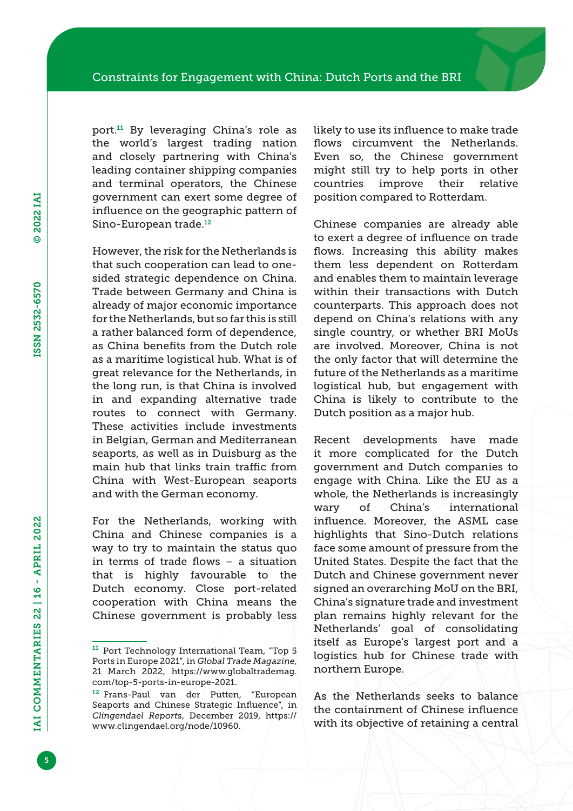port.11 By leveraging China's role as the world's largest trading nation and closely partnering with China's leading container shipping companies and terminal operators, the Chinese government can exert some degree of influence on the geographic pattern of Sino-European trade.<sup>12</sup>

However, the risk for the Netherlands is that such cooperation can lead to onesided strategic dependence on China. Trade between Germany and China is already of major economic importance for the Netherlands, but so far this is still a rather balanced form of dependence, as China benefits from the Dutch role as a maritime logistical hub. What is of great relevance for the Netherlands, in the long run, is that China is involved in and expanding alternative trade routes to connect with Germany. These activities include investments in Belgian, German and Mediterranean seaports, as well as in Duisburg as the main hub that links train traffic from China with West-European seaports and with the German economy.

For the Netherlands, working with China and Chinese companies is a way to try to maintain the status quo in terms of trade flows – a situation that is highly favourable to the Dutch economy. Close port-related cooperation with China means the Chinese government is probably less likely to use its influence to make trade flows circumvent the Netherlands. Even so, the Chinese government might still try to help ports in other countries improve their relative position compared to Rotterdam.

Chinese companies are already able to exert a degree of influence on trade flows. Increasing this ability makes them less dependent on Rotterdam and enables them to maintain leverage within their transactions with Dutch counterparts. This approach does not depend on China's relations with any single country, or whether BRI MoUs are involved. Moreover, China is not the only factor that will determine the future of the Netherlands as a maritime logistical hub, but engagement with China is likely to contribute to the Dutch position as a major hub.

Recent developments have made it more complicated for the Dutch government and Dutch companies to engage with China. Like the EU as a whole, the Netherlands is increasingly wary of China's international influence. Moreover, the ASML case highlights that Sino-Dutch relations face some amount of pressure from the United States. Despite the fact that the Dutch and Chinese government never signed an overarching MoU on the BRI, China's signature trade and investment plan remains highly relevant for the Netherlands' goal of consolidating itself as Europe's largest port and a logistics hub for Chinese trade with northern Europe.

As the Netherlands seeks to balance the containment of Chinese influence with its objective of retaining a central

<sup>11</sup> Port Technology International Team, "Top 5 Ports in Europe 2021", in *Global Trade Magazine*, 21 March 2022, [https://www.globaltrademag.](https://www.globaltrademag.com/top-5-ports-in-europe-2021) [com/top-5-ports-in-europe-2021](https://www.globaltrademag.com/top-5-ports-in-europe-2021).

<sup>&</sup>lt;sup>12</sup> Frans-Paul van der Putten, "European Seaports and Chinese Strategic Influence", in *Clingendael Report*s, December 2019, [https://](https://www.clingendael.org/node/10960) [www.clingendael.org/node/10960.](https://www.clingendael.org/node/10960)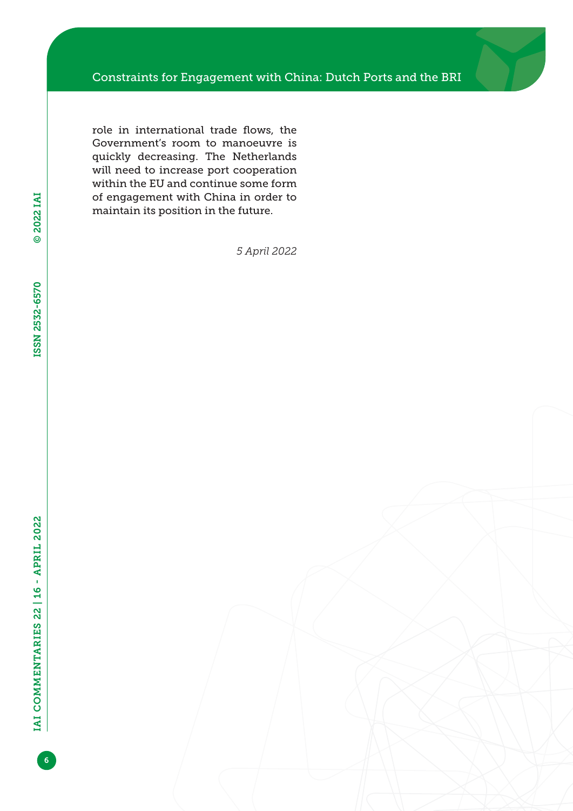role in international trade flows, the Government's room to manoeuvre is quickly decreasing. The Netherlands will need to increase port cooperation within the EU and continue some form of engagement with China in order to maintain its position in the future.

*5 April 2022*